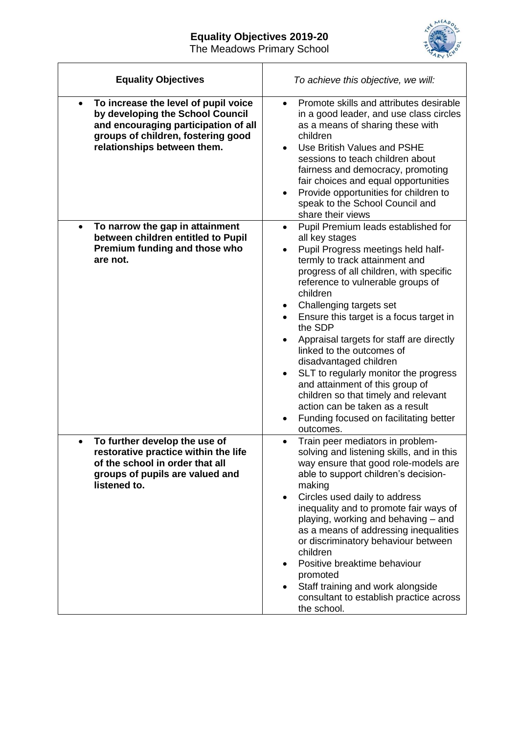## **Equality Objectives 2019-20** The Meadows Primary School



| <b>Equality Objectives</b>                                                                                                                                                                         | To achieve this objective, we will:                                                                                                                                                                                                                                                                                                                                                                                                                                                                                                                                                                                                                   |
|----------------------------------------------------------------------------------------------------------------------------------------------------------------------------------------------------|-------------------------------------------------------------------------------------------------------------------------------------------------------------------------------------------------------------------------------------------------------------------------------------------------------------------------------------------------------------------------------------------------------------------------------------------------------------------------------------------------------------------------------------------------------------------------------------------------------------------------------------------------------|
| To increase the level of pupil voice<br>$\bullet$<br>by developing the School Council<br>and encouraging participation of all<br>groups of children, fostering good<br>relationships between them. | Promote skills and attributes desirable<br>$\bullet$<br>in a good leader, and use class circles<br>as a means of sharing these with<br>children<br>Use British Values and PSHE<br>$\bullet$<br>sessions to teach children about<br>fairness and democracy, promoting<br>fair choices and equal opportunities<br>Provide opportunities for children to<br>٠<br>speak to the School Council and<br>share their views                                                                                                                                                                                                                                    |
| To narrow the gap in attainment<br>$\bullet$<br>between children entitled to Pupil<br>Premium funding and those who<br>are not.                                                                    | Pupil Premium leads established for<br>$\bullet$<br>all key stages<br>Pupil Progress meetings held half-<br>termly to track attainment and<br>progress of all children, with specific<br>reference to vulnerable groups of<br>children<br>Challenging targets set<br>$\bullet$<br>Ensure this target is a focus target in<br>the SDP<br>Appraisal targets for staff are directly<br>linked to the outcomes of<br>disadvantaged children<br>SLT to regularly monitor the progress<br>and attainment of this group of<br>children so that timely and relevant<br>action can be taken as a result<br>Funding focused on facilitating better<br>outcomes. |
| To further develop the use of<br>$\bullet$<br>restorative practice within the life<br>of the school in order that all<br>groups of pupils are valued and<br>listened to.                           | Train peer mediators in problem-<br>solving and listening skills, and in this<br>way ensure that good role-models are<br>able to support children's decision-<br>making<br>Circles used daily to address<br>$\bullet$<br>inequality and to promote fair ways of<br>playing, working and behaving - and<br>as a means of addressing inequalities<br>or discriminatory behaviour between<br>children<br>Positive breaktime behaviour<br>promoted<br>Staff training and work alongside<br>$\bullet$<br>consultant to establish practice across<br>the school.                                                                                            |